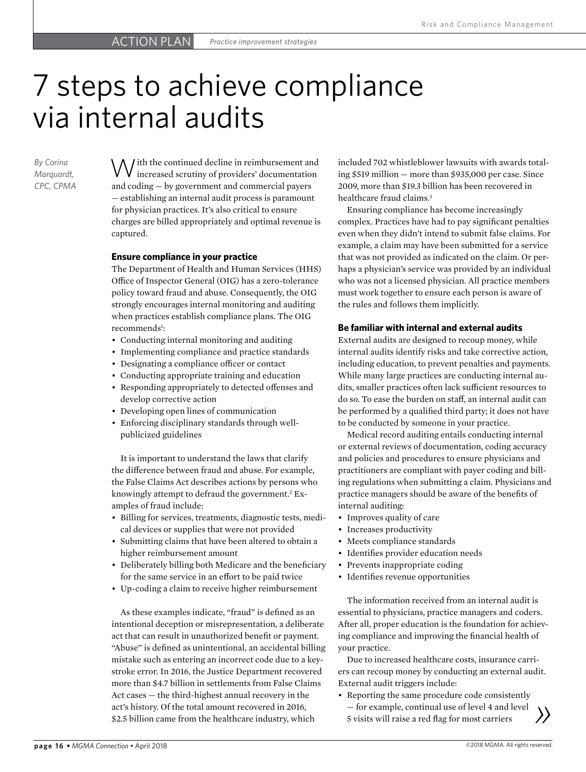# 7 steps to achieve compliance via internal audits

*By Corina Marquardt, CPC, CPMA*

 $\bigvee$  *j* ith the continued decline in reimbursement and increased scrutiny of providers' documentation and coding — by government and commercial payers — establishing an internal audit process is paramount for physician practices. It's also critical to ensure charges are billed appropriately and optimal revenue is captured.

#### **Ensure compliance in your practice**

The Department of Health and Human Services (HHS) Office of Inspector General (OIG) has a zero-tolerance policy toward fraud and abuse. Consequently, the OIG strongly encourages internal monitoring and auditing when practices establish compliance plans. The OIG recommends<sup>1</sup>:

- Conducting internal monitoring and auditing
- Implementing compliance and practice standards
- Designating a compliance officer or contact
- Conducting appropriate training and education
- Responding appropriately to detected offenses and develop corrective action
- Developing open lines of communication
- Enforcing disciplinary standards through wellpublicized guidelines

It is important to understand the laws that clarify the difference between fraud and abuse. For example, the False Claims Act describes actions by persons who knowingly attempt to defraud the government.<sup>2</sup> Examples of fraud include:

- Billing for services, treatments, diagnostic tests, medical devices or supplies that were not provided
- Submitting claims that have been altered to obtain a higher reimbursement amount
- Deliberately billing both Medicare and the beneficiary for the same service in an effort to be paid twice
- Up-coding a claim to receive higher reimbursement

As these examples indicate, "fraud" is defined as an intentional deception or misrepresentation, a deliberate act that can result in unauthorized benefit or payment. "Abuse" is defined as unintentional, an accidental billing mistake such as entering an incorrect code due to a keystroke error. In 2016, the Justice Department recovered more than \$4.7 billion in settlements from False Claims Act cases — the third-highest annual recovery in the act's history. Of the total amount recovered in 2016, \$2.5 billion came from the healthcare industry, which

included 702 whistleblower lawsuits with awards totaling \$519 million — more than \$935,000 per case. Since 2009, more than \$19.3 billion has been recovered in healthcare fraud claims.<sup>3</sup>

Ensuring compliance has become increasingly complex. Practices have had to pay significant penalties even when they didn't intend to submit false claims. For example, a claim may have been submitted for a service that was not provided as indicated on the claim. Or perhaps a physician's service was provided by an individual who was not a licensed physician. All practice members must work together to ensure each person is aware of the rules and follows them implicitly.

#### **Be familiar with internal and external audits**

External audits are designed to recoup money, while internal audits identify risks and take corrective action, including education, to prevent penalties and payments. While many large practices are conducting internal audits, smaller practices often lack sufficient resources to do so. To ease the burden on staff, an internal audit can be performed by a qualified third party; it does not have to be conducted by someone in your practice.

Medical record auditing entails conducting internal or external reviews of documentation, coding accuracy and policies and procedures to ensure physicians and practitioners are compliant with payer coding and billing regulations when submitting a claim. Physicians and practice managers should be aware of the benefits of internal auditing:

- Improves quality of care
- Increases productivity
- Meets compliance standards
- Identifies provider education needs
- Prevents inappropriate coding
- Identifies revenue opportunities

The information received from an internal audit is essential to physicians, practice managers and coders. After all, proper education is the foundation for achieving compliance and improving the financial health of your practice.

Due to increased healthcare costs, insurance carriers can recoup money by conducting an external audit. External audit triggers include:

• Reporting the same procedure code consistently — for example, continual use of level 4 and level 5 visits will raise a red flag for most carriers

**page 16 •** *MGMA Connection* • April 2018 **Connection** • April 2018 **Connection** • April 2018 **Connection** • April 2018 **Connection** • April 2018 **Connection** • April 2018

*»*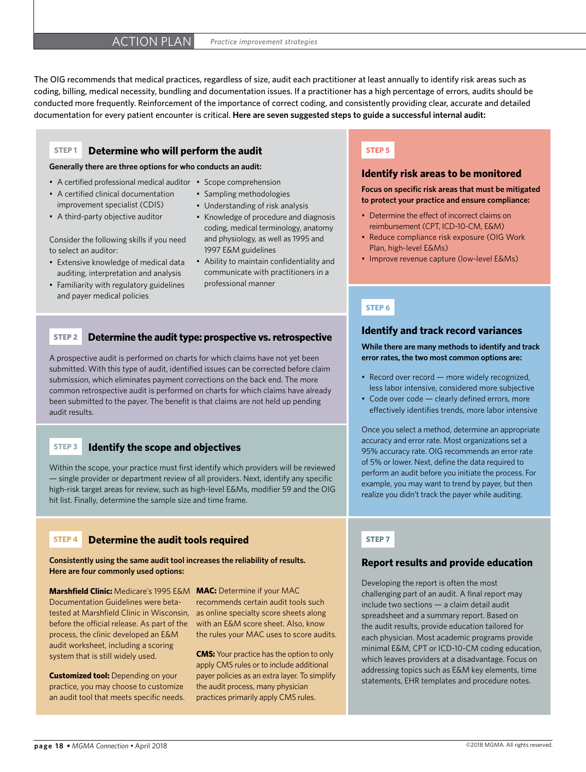The OIG recommends that medical practices, regardless of size, audit each practitioner at least annually to identify risk areas such as coding, billing, medical necessity, bundling and documentation issues. If a practitioner has a high percentage of errors, audits should be conducted more frequently. Reinforcement of the importance of correct coding, and consistently providing clear, accurate and detailed documentation for every patient encounter is critical. **Here are seven suggested steps to guide a successful internal audit:**

#### **STEP 1 Determine who will perform the audit**

**Generally there are three options for who conducts an audit:**

- A certified professional medical auditor Scope comprehension
- A certified clinical documentation improvement specialist (CDIS)
- A third-party objective auditor

Consider the following skills if you need to select an auditor:

- Extensive knowledge of medical data auditing, interpretation and analysis
- Familiarity with regulatory guidelines and payer medical policies
- 
- Sampling methodologies
- Understanding of risk analysis
- Knowledge of procedure and diagnosis coding, medical terminology, anatomy and physiology, as well as 1995 and 1997 E&M guidelines
- Ability to maintain confidentiality and communicate with practitioners in a professional manner

#### **STEP 2 Determine the audit type: prospective vs. retrospective**

A prospective audit is performed on charts for which claims have not yet been submitted. With this type of audit, identified issues can be corrected before claim submission, which eliminates payment corrections on the back end. The more common retrospective audit is performed on charts for which claims have already been submitted to the payer. The benefit is that claims are not held up pending audit results.

#### **STEP 3 Identify the scope and objectives**

Within the scope, your practice must first identify which providers will be reviewed — single provider or department review of all providers. Next, identify any specific high-risk target areas for review, such as high-level E&Ms, modifier 59 and the OIG hit list. Finally, determine the sample size and time frame.

#### **STEP 4 Determine the audit tools required**

**Consistently using the same audit tool increases the reliability of results. Here are four commonly used options:** 

**Marshfield Clinic:** Medicare's 1995 E&M **MAC:** Determine if your MAC Documentation Guidelines were betatested at Marshfield Clinic in Wisconsin, before the official release. As part of the process, the clinic developed an E&M audit worksheet, including a scoring system that is still widely used.

**Customized tool:** Depending on your practice, you may choose to customize an audit tool that meets specific needs.

recommends certain audit tools such as online specialty score sheets along with an E&M score sheet. Also, know the rules your MAC uses to score audits.

**CMS:** Your practice has the option to only apply CMS rules or to include additional payer policies as an extra layer. To simplify the audit process, many physician practices primarily apply CMS rules.

#### **STEP 5**

#### **Identify risk areas to be monitored**

**Focus on specific risk areas that must be mitigated to protect your practice and ensure compliance:** 

- Determine the effect of incorrect claims on reimbursement (CPT, ICD-10-CM, E&M)
- Reduce compliance risk exposure (OIG Work Plan, high-level E&Ms)
- Improve revenue capture (low-level E&Ms)

#### **STEP 6**

#### **Identify and track record variances**

**While there are many methods to identify and track error rates, the two most common options are:** 

- Record over record more widely recognized, less labor intensive, considered more subjective
- Code over code clearly defined errors, more effectively identifies trends, more labor intensive

Once you select a method, determine an appropriate accuracy and error rate. Most organizations set a 95% accuracy rate. OIG recommends an error rate of 5% or lower. Next, define the data required to perform an audit before you initiate the process. For example, you may want to trend by payer, but then realize you didn't track the payer while auditing.

#### **STEP 7**

#### **Report results and provide education**

Developing the report is often the most challenging part of an audit. A final report may include two sections — a claim detail audit spreadsheet and a summary report. Based on the audit results, provide education tailored for each physician. Most academic programs provide minimal E&M, CPT or ICD-10-CM coding education, which leaves providers at a disadvantage. Focus on addressing topics such as E&M key elements, time statements, EHR templates and procedure notes.